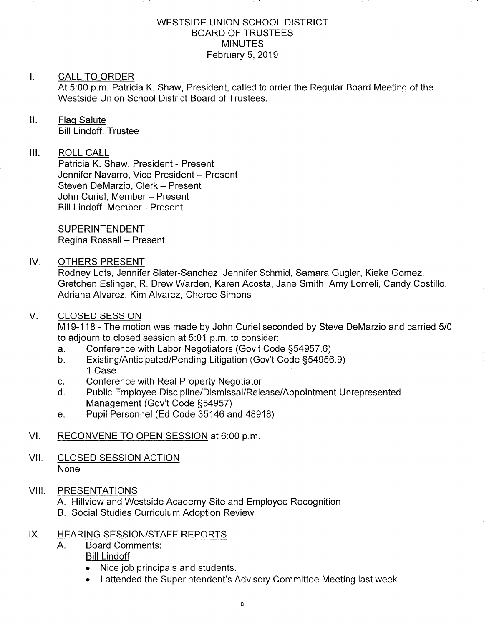### WESTSIDE UNION SCHOOL DISTRICT BOARD OF TRUSTEES **MINUTES** February 5,2019

#### I. CALL TO ORDER

At 5:00 p.m. Patricia K. Shaw, President, called to order the Regular Board Meeting of the Westside Union School District Board of Trustees.

## ll. Flaq Salute

Bill Lindoff, Trustee

# III. ROLL CALL

Patricia K. Shaw, President - Present Jennifer Navarro, Vice President - Present Steven DeMarzio, Clerk - Present John Curiel, Member - Present Bill Lindoff, Member - Present

SUPERINTENDENT Regina Rossall - Present

### IV. OTHERS PRESENT

Rodney Lots, Jennifer Slater-Sanchez, Jennifer Schmid, Samara Gugler, Kieke Gomez, Gretchen Eslinger, R. Drew Warden, Karen Acosta, Jane Smith, Amy Lomeli, Candy Costillo, Adriana Alvarez, Kim Alvarez, Cheree Simons

#### **CLOSED SESSION** V

M19-118 - The motion was made by John Curiel seconded by Steve DeMarzio and carried 5/0 to adjourn to closed session at 5:01 p.m. to consider:<br>a. Conference with Labor Negotiators (Gov't Code §54957.6)

- a. Conference with Labor Negotiators (Gov't Code §54957.6)<br>b. Existing/Anticipated/Pending Litigation (Gov't Code §54956.9)
- 1 Case
- 
- c. Conference with Real Property Negotiator<br>d. Public Employee Discipline/Dismissal/Release/Appointment Unrepresented Management (Gov't Code §54957)<br>
e. Pupil Personnel (Ed Code 35146 and 48918)
- 

# Vl. RECONVENE TO OPEN SESSION at 6:00 p.m

### VII. CLOSED SESSION ACTION None

## VIII. PRESENTATIONS

A.

- A. Hillview and Westside Academy Site and Employee Recognition
- B. Social Studies Curriculum Adoption Review

## IX. HEARING SESSION/STAFF REPORTS

- Board Comments
	- Bill Lindoff
		- Nice job principals and students
	- I attended the Superintendent's Advisory Committee Meeting last week.  $\bullet$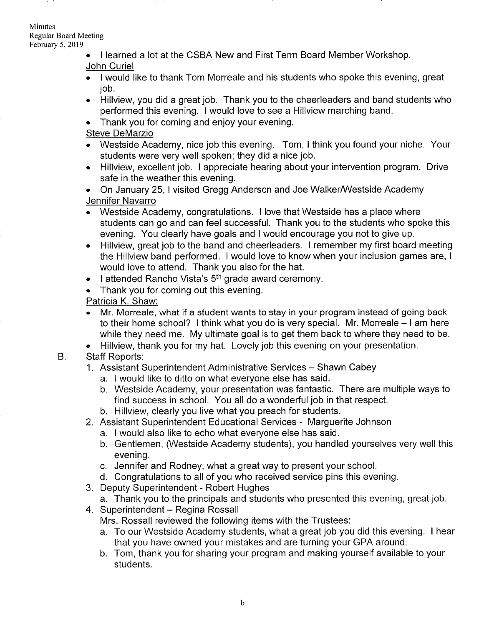**Minutes** Regular Board Meeting February 5,2019

- . I learned a lot at the CSBA New and First Term Board Member Workshop. John Curiel
- . I would like to thank Tom Morreale and his students who spoke this evening, great job.
- . Hillview, you did a great job. Thank you to the cheerleaders and band students who performed this evening. I would love to see a Hillview marching band.
- . Thank you for coming and enjoy your evening.

# Steve DeMarzio

- . Westside Academy, nice job this evening. Tom, I think you found your niche. Your students were very well spoken; they did a nice job.
- . Hillview, excellent job. I appreciate hearing about your intervention program. Drive safe in the weather this evening.
- On January 25, I visited Gregg Anderson and Joe Walker/Westside Academy Jennifer Navarro
- Westside Academy, congratulations. I love that Westside has a place where students can go and can feel successful. Thank you to the students who spoke this evening. You clearly have goals and I would encourage you not to give up.
- . Hillview, great job to the band and cheerleaders. I remember my first board meeting the Hillview band performed. I would love to know when your inclusion games are, <sup>I</sup> would love to attend. Thank you also for the hat.
- $\bullet$  I attended Rancho Vista's  $5<sup>th</sup>$  grade award ceremony.
- . Thank you for coming out this evening.

Patricia K. Shaw.

- . Mr. Morreale, what if a student wants to stay in your program instead of going back to their home school? I think what you do is very special. Mr. Morreale – I am here while they need me. My ultimate goal is to get them back to where they need to be.
- . Hillview, thank you for my hat. Lovely job this evening on your presentation.
- Staff Reports: B.
	- 1. Assistant Superintendent Administrative Services Shawn Cabey
		- a. I would like to ditto on what everyone else has said.
		- b. Westside Academy, your presentation was fantastic. There are multiple ways to find success in school. You all do a wonderful job in that respect.
		- b. Hillview, clearly you live what you preach for students.
	- 2. Assistant Superintendent Educational Services Marguerite Johnson
		- a. I would also like to echo what everyone else has said.
		- b. Gentlemen, (Westside Academy students), you handled yourselves very well this evening.
		- c. Jennifer and Rodney, what a great way to present your school.
		- d. Congratulations to all of you who received service pins this evening.
	- 3. Deputy Superintendent Robert Hughes
		- a. Thank you to the principals and students who presented this evening, great job.
	- 4. Superintendent Regina Rossall
		- Mrs. Rossall reviewed the following items with the Trustees:
		- a. To our Westside Academy students, what a great job you did this evening. I hear that you have owned your mistakes and are turning your GPA around.
		- b. Tom, thank you for sharing your program and making yourself available to your students.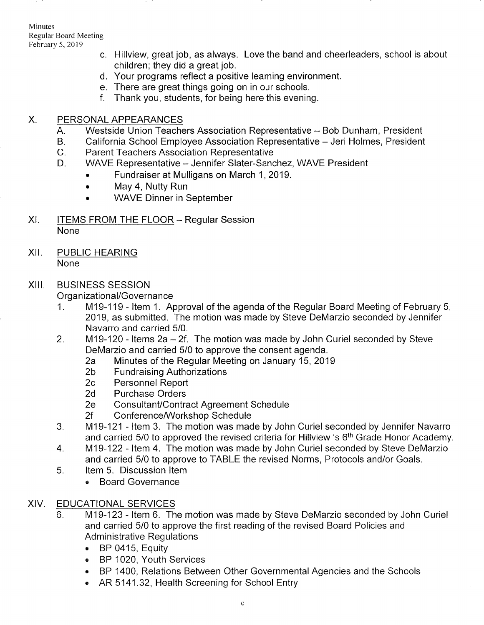Minutes Regular Board Meeting February 5,2019

- c. Hillview, great job, as always. Love the band and cheerleaders, school is about children; they did a great job.
	- d. Your programs reflect a positive learning environment
- There are great things going on in our schools. e
- f. Thank you, students, for being here this evening.

#### PERSONAL APPEARANCES X.

- Westside Union Teachers Association Representative Bob Dunham, President  $A_{1}$
- California School Employee Association Representative Jeri Holmes, President  $B<sub>r</sub>$
- Parent Teachers Association Representative  $C_{\cdot}$
- WAVE Representative Jennifer Slater-Sanchez, WAVE President  $D_{\perp}$ 
	- . Fundraiser at Mulligans on March 1,2019.
	- . May 4, Nutty Run
	- . WAVE Dinner in September
- ITEMS FROM THE FLOOR Regular Session None XI
- xil PUBLIC HEARING None

# XIII. BUSINESS SESSION

- Organizational/Governance<br>1. M19-119 Item 1. Approval of the agenda of the Regular Board Meeting of February 5, 2019, as submitted. The motion was made by Steve DeMarzio seconded by Jennifer Navarro and carried 5/0.
- 2. M19-120 Items  $2a 2f$ . The motion was made by John Curiel seconded by Steve DeMarzio and carried  $5/0$  to approve the consent agenda.
	- Pearl Carried 26 to approve the Regular Meeting on January 15, 2019<br>
	2b Fundraising Authorizations<br>
	2c Personnel Report<br>
	2d Purchase Orders
	-
	-
	-
	-
	-
- 2e Consultant/Contract Agreement Schedule<br>2f Conference/Workshop Schedule<br>3. M19-121 Item 3. The motion was made by John Curiel seconded by Jennifer Navarro and carried 5/0 to approved the revised criteria for Hillview 's 6<sup>th</sup> Grade Honor Academy.<br>4. M19-122 - Item 4. The motion was made by John Curiel seconded by Steve DeMarzio
- and carried 5/0 to approve to TABLE the revised Norms, Protocols and/or Goals. 5. ltem 5. Discussion ltem
- - Board Governance

#### EDUCATIONAL SERVICES XIV

- 6. M1 9-123 ltem 6. The motion was made by Steve DeMarzio seconded by John Curiel and carried 5/0 to approve the first reading of the revised Board Policies and Administrative Regulations
	- BP 0415, Equity
	- . BP 1020, Youth Services
	- . BP 1400, Relations Between Other Governmental Agencies and the Schools
	- AR 5141.32, Health Screening for School Entry